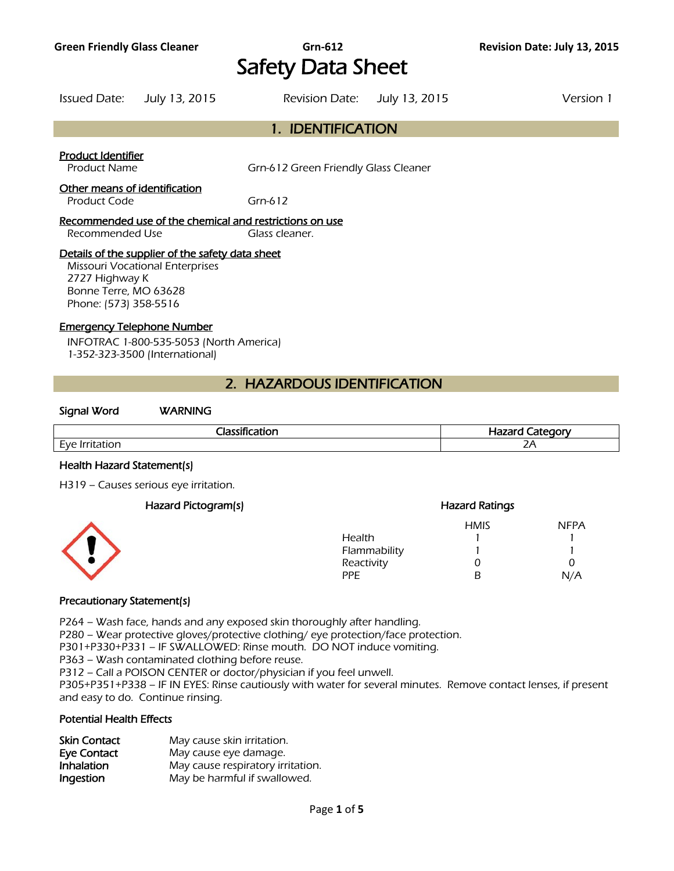# **Green Friendly Glass Cleaner Grn-612 Revision Date: July 13, 2015**  Safety Data Sheet

Issued Date: July 13, 2015 Revision Date: July 13, 2015 Version 1

# 1. IDENTIFICATION

## Product Identifier

Product Name Grn-612 Green Friendly Glass Cleaner

# Other means of identification

Product Code Grn-612

#### Recommended use of the chemical and restrictions on use Recommended Use Glass cleaner.

## Details of the supplier of the safety data sheet

Missouri Vocational Enterprises 2727 Highway K Bonne Terre, MO 63628 Phone: (573) 358-5516

# Emergency Telephone Number

INFOTRAC 1-800-535-5053 (North America) 1-352-323-3500 (International)

# 2. HAZARDOUS IDENTIFICATION

## Signal Word WARNING

| --<br>--<br>$\sim$ 1000 $\sim$            | $\sim$ $\sim$ $\sim$ $\sim$ $\sim$ $\sim$<br>----<br>та<br>- - |  |
|-------------------------------------------|----------------------------------------------------------------|--|
| $\sim$<br><b>HVE</b><br>- -<br><u>_ v</u> | $\mathbf{z}$<br>ZΓ                                             |  |
|                                           |                                                                |  |

## Health Hazard Statement(s)

H319 – Causes serious eye irritation.

| Hazard Pictogram(s) |              | <b>Hazard Ratings</b> |             |
|---------------------|--------------|-----------------------|-------------|
|                     |              | <b>HMIS</b>           | <b>NFPA</b> |
|                     | Health       |                       |             |
| <u>{</u>            | Flammability |                       |             |
|                     | Reactivity   |                       |             |
|                     | <b>PPE</b>   |                       | N/A         |
|                     |              |                       |             |

# Precautionary Statement(s)

P264 – Wash face, hands and any exposed skin thoroughly after handling.

P280 – Wear protective gloves/protective clothing/ eye protection/face protection.

P301+P330+P331 – IF SWALLOWED: Rinse mouth. DO NOT induce vomiting.

P363 – Wash contaminated clothing before reuse.

P312 – Call a POISON CENTER or doctor/physician if you feel unwell.

P305+P351+P338 – IF IN EYES: Rinse cautiously with water for several minutes. Remove contact lenses, if present and easy to do. Continue rinsing.

## Potential Health Effects

| <b>Skin Contact</b> | May cause skin irritation.        |
|---------------------|-----------------------------------|
| Eye Contact         | May cause eye damage.             |
| Inhalation          | May cause respiratory irritation. |
| Ingestion           | May be harmful if swallowed.      |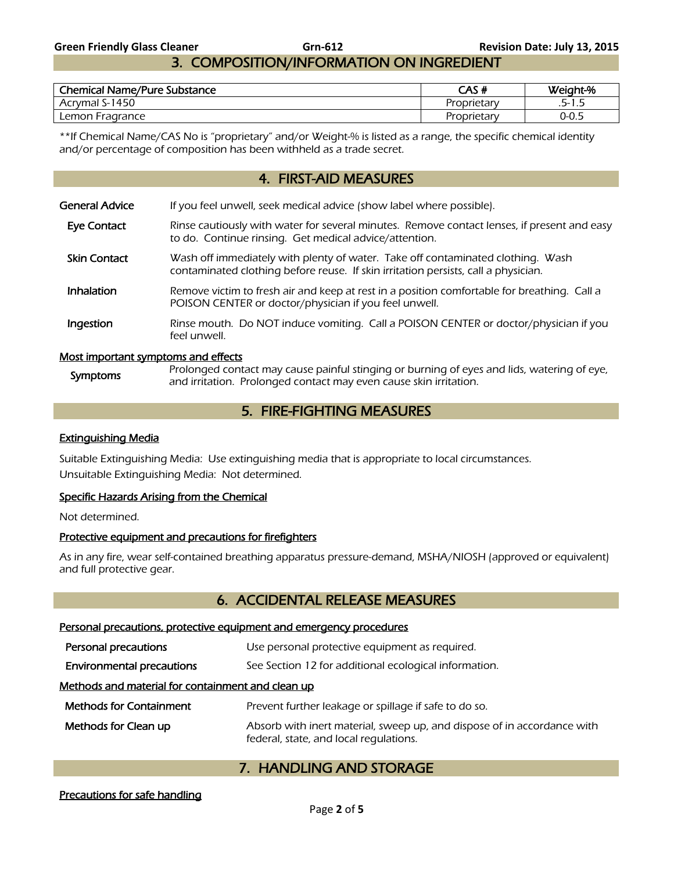# 3. COMPOSITION/INFORMATION ON INGREDIENT

| <b>Chemical Name/Pure Substance</b> | CAS #       | Weight-% |
|-------------------------------------|-------------|----------|
| Acrymal S-1450                      | Proprietary | .5-1.5   |
| Lemon Fragrance                     | Proprietary | 0-0.5    |

\*\*If Chemical Name/CAS No is "proprietary" and/or Weight-% is listed as a range, the specific chemical identity and/or percentage of composition has been withheld as a trade secret.

# 4. FIRST-AID MEASURES

| General Advice                      | If you feel unwell, seek medical advice (show label where possible).                                                                                                  |
|-------------------------------------|-----------------------------------------------------------------------------------------------------------------------------------------------------------------------|
| Eye Contact                         | Rinse cautiously with water for several minutes. Remove contact lenses, if present and easy<br>to do. Continue rinsing. Get medical advice/attention.                 |
| <b>Skin Contact</b>                 | Wash off immediately with plenty of water. Take off contaminated clothing. Wash<br>contaminated clothing before reuse. If skin irritation persists, call a physician. |
| Inhalation                          | Remove victim to fresh air and keep at rest in a position comfortable for breathing. Call a<br>POISON CENTER or doctor/physician if you feel unwell.                  |
| Ingestion                           | Rinse mouth. Do NOT induce vomiting. Call a POISON CENTER or doctor/physician if you<br>feel unwell.                                                                  |
| Most important symptoms and effects |                                                                                                                                                                       |

## Most important symptoms and effects

Symptoms Prolonged contact may cause painful stinging or burning of eyes and lids, watering of eye, and irritation. Prolonged contact may even cause skin irritation.

# 5. FIRE-FIGHTING MEASURES

## Extinguishing Media

Suitable Extinguishing Media: Use extinguishing media that is appropriate to local circumstances. Unsuitable Extinguishing Media: Not determined.

## Specific Hazards Arising from the Chemical

Not determined.

## Protective equipment and precautions for firefighters

As in any fire, wear self-contained breathing apparatus pressure-demand, MSHA/NIOSH (approved or equivalent) and full protective gear.

# 6. ACCIDENTAL RELEASE MEASURES

#### Personal precautions, protective equipment and emergency procedures

| Personal precautions                              | Use personal protective equipment as required.                                                                    |
|---------------------------------------------------|-------------------------------------------------------------------------------------------------------------------|
| <b>Environmental precautions</b>                  | See Section 12 for additional ecological information.                                                             |
| Methods and material for containment and clean up |                                                                                                                   |
| <b>Methods for Containment</b>                    | Prevent further leakage or spillage if safe to do so.                                                             |
| Methods for Clean up                              | Absorb with inert material, sweep up, and dispose of in accordance with<br>federal, state, and local regulations. |

# 7. HANDLING AND STORAGE

# Precautions for safe handling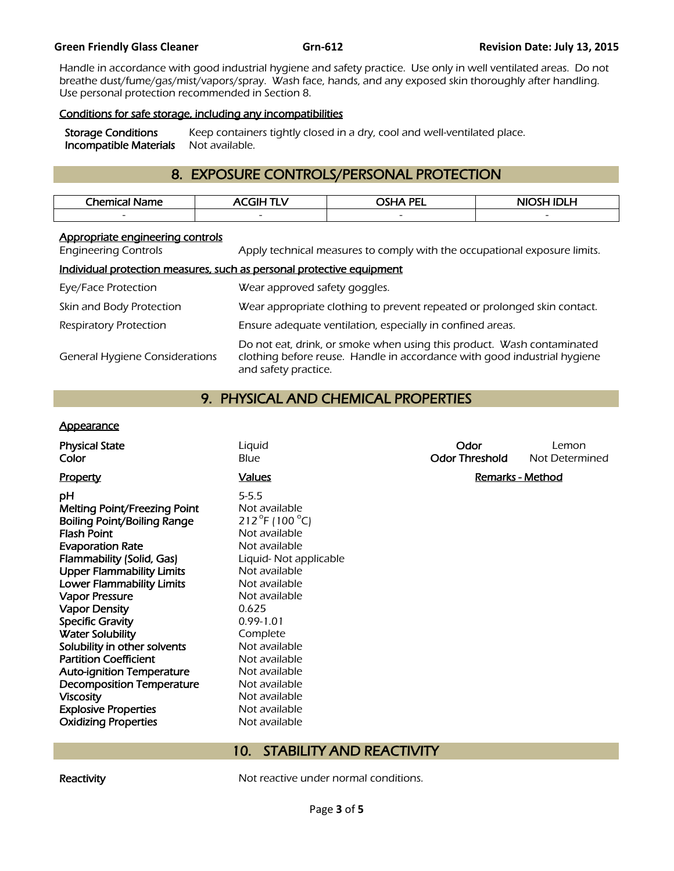#### **Green Friendly Glass Cleaner Grn-612 Revision Date: July 13, 2015**

Handle in accordance with good industrial hygiene and safety practice. Use only in well ventilated areas. Do not breathe dust/fume/gas/mist/vapors/spray. Wash face, hands, and any exposed skin thoroughly after handling. Use personal protection recommended in Section 8.

## Conditions for safe storage, including any incompatibilities

Storage Conditions Keep containers tightly closed in a dry, cool and well-ventilated place.<br>Incompatible Materials Not available. **Incompatible Materials** 

# 8. EXPOSURE CONTROLS/PERSONAL PROTECTION

| Chemical - | . | <b>DEL</b><br>ിലേ മ<br>-- | .<br>.<br>NK<br>_        |
|------------|---|---------------------------|--------------------------|
|            |   | $\sim$                    | $\overline{\phantom{0}}$ |
|            |   |                           |                          |

# Appropriate engineering controls

Engineering Controls Apply technical measures to comply with the occupational exposure limits.

# Individual protection measures, such as personal protective equipment

| Eye/Face Protection                   | Wear approved safety goggles.                                                                                                                                              |
|---------------------------------------|----------------------------------------------------------------------------------------------------------------------------------------------------------------------------|
| Skin and Body Protection              | Wear appropriate clothing to prevent repeated or prolonged skin contact.                                                                                                   |
| <b>Respiratory Protection</b>         | Ensure adequate ventilation, especially in confined areas.                                                                                                                 |
| <b>General Hygiene Considerations</b> | Do not eat, drink, or smoke when using this product. Wash contaminated<br>clothing before reuse. Handle in accordance with good industrial hygiene<br>and safety practice. |

# 9. PHYSICAL AND CHEMICAL PROPERTIES

## **Appearance**

| Liquid                | Odor                  | Lemon                           |
|-----------------------|-----------------------|---------------------------------|
| Blue                  | <b>Odor Threshold</b> | Not Determined                  |
| <b>Values</b>         |                       | <b>Remarks - Method</b>         |
| $5 - 5.5$             |                       |                                 |
| Not available         |                       |                                 |
| 212 °F (100 °C)       |                       |                                 |
| Not available         |                       |                                 |
| Not available         |                       |                                 |
| Liquid-Not applicable |                       |                                 |
| Not available         |                       |                                 |
| Not available         |                       |                                 |
| Not available         |                       |                                 |
| 0.625                 |                       |                                 |
| $0.99 - 1.01$         |                       |                                 |
| Complete              |                       |                                 |
| Not available         |                       |                                 |
| Not available         |                       |                                 |
| Not available         |                       |                                 |
| Not available         |                       |                                 |
| Not available         |                       |                                 |
| Not available         |                       |                                 |
| Not available         |                       |                                 |
|                       |                       |                                 |
|                       |                       |                                 |
|                       | 10.                   | <b>STABILITY AND REACTIVITY</b> |

Reactivity **Not reactive under normal conditions.**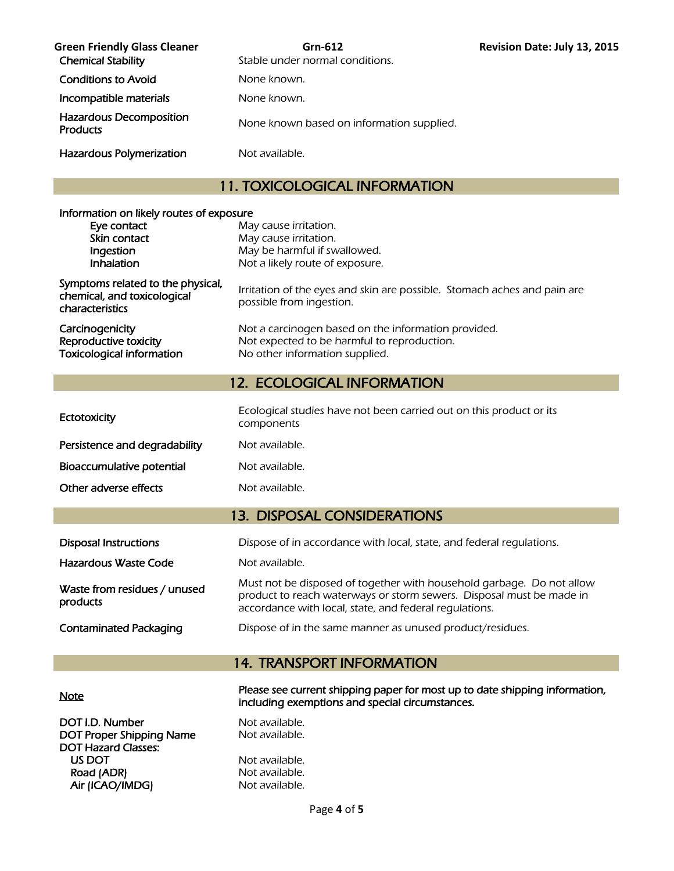| <b>Green Friendly Glass Cleaner</b><br><b>Chemical Stability</b> | Grn-612<br>Stable under normal conditions. |
|------------------------------------------------------------------|--------------------------------------------|
| <b>Conditions to Avoid</b>                                       | None known.                                |
| Incompatible materials                                           | None known.                                |
| <b>Hazardous Decomposition</b><br><b>Products</b>                | None known based on information supplied.  |
| Hazardous Polymerization                                         | Not available.                             |

# 11. TOXICOLOGICAL INFORMATION

**Revision Date: July 13, 2015** 

| Information on likely routes of exposure<br>Eye contact<br>Skin contact<br>Ingestion<br>Inhalation | May cause irritation.<br>May cause irritation.<br>May be harmful if swallowed.<br>Not a likely route of exposure.                                                                                       |
|----------------------------------------------------------------------------------------------------|---------------------------------------------------------------------------------------------------------------------------------------------------------------------------------------------------------|
| Symptoms related to the physical,<br>chemical, and toxicological<br>characteristics                | Irritation of the eyes and skin are possible. Stomach aches and pain are<br>possible from ingestion.                                                                                                    |
| Carcinogenicity<br>Reproductive toxicity<br><b>Toxicological information</b>                       | Not a carcinogen based on the information provided.<br>Not expected to be harmful to reproduction.<br>No other information supplied.                                                                    |
|                                                                                                    | <b>12. ECOLOGICAL INFORMATION</b>                                                                                                                                                                       |
| Ectotoxicity                                                                                       | Ecological studies have not been carried out on this product or its<br>components                                                                                                                       |
| Persistence and degradability                                                                      | Not available.                                                                                                                                                                                          |
| Bioaccumulative potential                                                                          | Not available.                                                                                                                                                                                          |
| Other adverse effects                                                                              | Not available.                                                                                                                                                                                          |
|                                                                                                    | <b>13. DISPOSAL CONSIDERATIONS</b>                                                                                                                                                                      |
| <b>Disposal Instructions</b>                                                                       | Dispose of in accordance with local, state, and federal regulations.                                                                                                                                    |
| Hazardous Waste Code                                                                               | Not available.                                                                                                                                                                                          |
| Waste from residues / unused<br>products                                                           | Must not be disposed of together with household garbage. Do not allow<br>product to reach waterways or storm sewers. Disposal must be made in<br>accordance with local, state, and federal regulations. |
| <b>Contaminated Packaging</b>                                                                      | Dispose of in the same manner as unused product/residues.                                                                                                                                               |
|                                                                                                    |                                                                                                                                                                                                         |

# 14. TRANSPORT INFORMATION

| <b>Note</b>              | Please see current shipping paper for most up to date shipping information,<br>including exemptions and special circumstances. |
|--------------------------|--------------------------------------------------------------------------------------------------------------------------------|
| DOT I.D. Number          | Not available.                                                                                                                 |
| DOT Proper Shipping Name | Not available.                                                                                                                 |
| DOT Hazard Classes:      |                                                                                                                                |
| US DOT                   | Not available.                                                                                                                 |
| Road (ADR)               | Not available.                                                                                                                 |
| Air (ICAO/IMDG)          | Not available.                                                                                                                 |